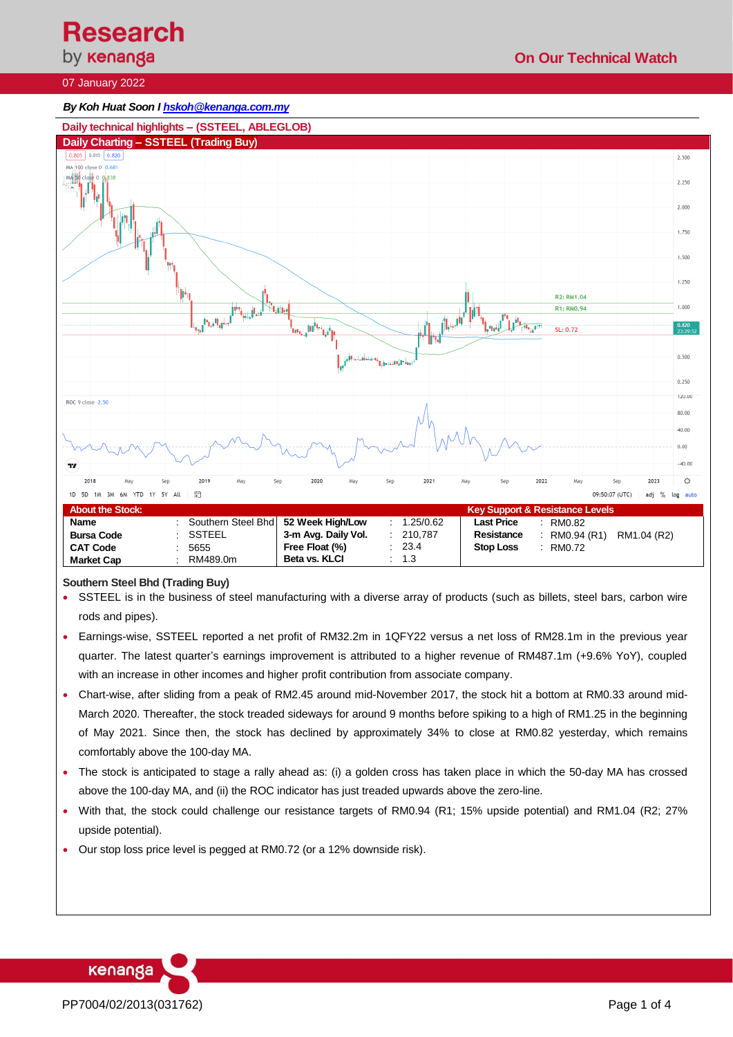**Research** 

# by **kenanga**

## 07 January 2022

#### *By Koh Huat Soon I hskoh@kenanga.com.my*



#### **Southern Steel Bhd (Trading Buy)**

- SSTEEL is in the business of steel manufacturing with a diverse array of products (such as billets, steel bars, carbon wire rods and pipes).
- Earnings-wise, SSTEEL reported a net profit of RM32.2m in 1QFY22 versus a net loss of RM28.1m in the previous year quarter. The latest quarter's earnings improvement is attributed to a higher revenue of RM487.1m (+9.6% YoY), coupled with an increase in other incomes and higher profit contribution from associate company.
- Chart-wise, after sliding from a peak of RM2.45 around mid-November 2017, the stock hit a bottom at RM0.33 around mid-March 2020. Thereafter, the stock treaded sideways for around 9 months before spiking to a high of RM1.25 in the beginning of May 2021. Since then, the stock has declined by approximately 34% to close at RM0.82 yesterday, which remains comfortably above the 100-day MA.
- The stock is anticipated to stage a rally ahead as: (i) a golden cross has taken place in which the 50-day MA has crossed above the 100-day MA, and (ii) the ROC indicator has just treaded upwards above the zero-line.
- With that, the stock could challenge our resistance targets of RM0.94 (R1; 15% upside potential) and RM1.04 (R2; 27% upside potential).
- Our stop loss price level is pegged at RM0.72 (or a 12% downside risk).

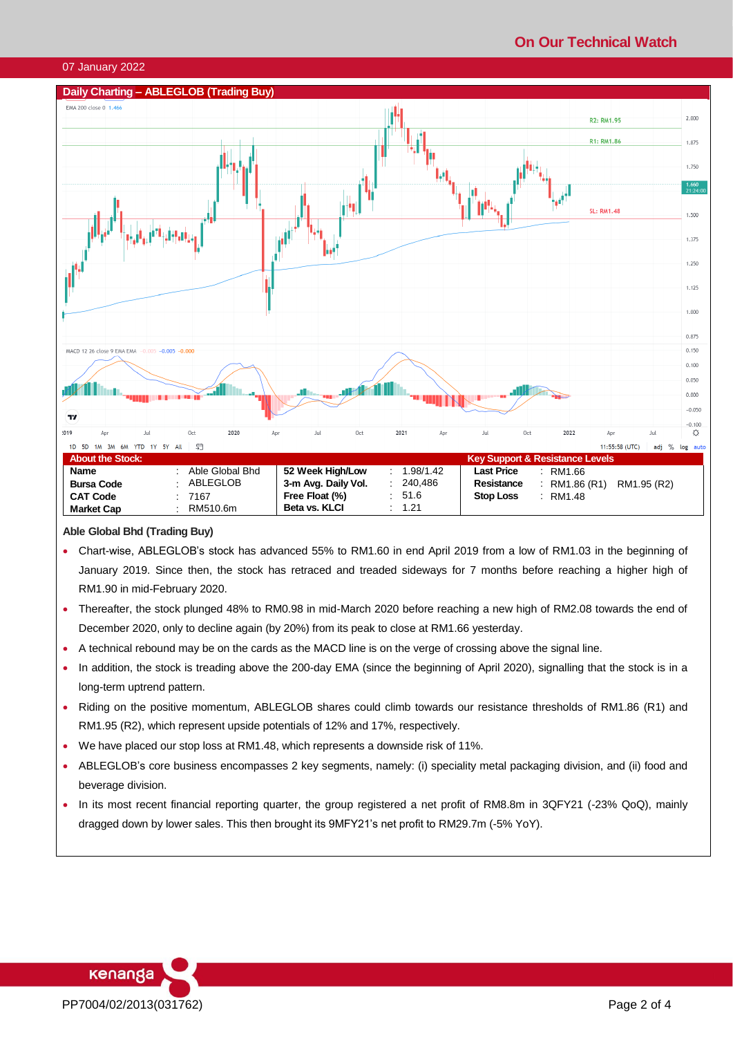# **On Our Technical Watch**

#### 07 January 2022



## **Able Global Bhd (Trading Buy)**

- Chart-wise, ABLEGLOB's stock has advanced 55% to RM1.60 in end April 2019 from a low of RM1.03 in the beginning of January 2019. Since then, the stock has retraced and treaded sideways for 7 months before reaching a higher high of RM1.90 in mid-February 2020.
- Thereafter, the stock plunged 48% to RM0.98 in mid-March 2020 before reaching a new high of RM2.08 towards the end of December 2020, only to decline again (by 20%) from its peak to close at RM1.66 yesterday.
- A technical rebound may be on the cards as the MACD line is on the verge of crossing above the signal line.
- In addition, the stock is treading above the 200-day EMA (since the beginning of April 2020), signalling that the stock is in a long-term uptrend pattern.
- Riding on the positive momentum, ABLEGLOB shares could climb towards our resistance thresholds of RM1.86 (R1) and RM1.95 (R2), which represent upside potentials of 12% and 17%, respectively.
- We have placed our stop loss at RM1.48, which represents a downside risk of 11%.
- ABLEGLOB's core business encompasses 2 key segments, namely: (i) speciality metal packaging division, and (ii) food and beverage division.
- In its most recent financial reporting quarter, the group registered a net profit of RM8.8m in 3QFY21 (-23% QoQ), mainly dragged down by lower sales. This then brought its 9MFY21's net profit to RM29.7m (-5% YoY).

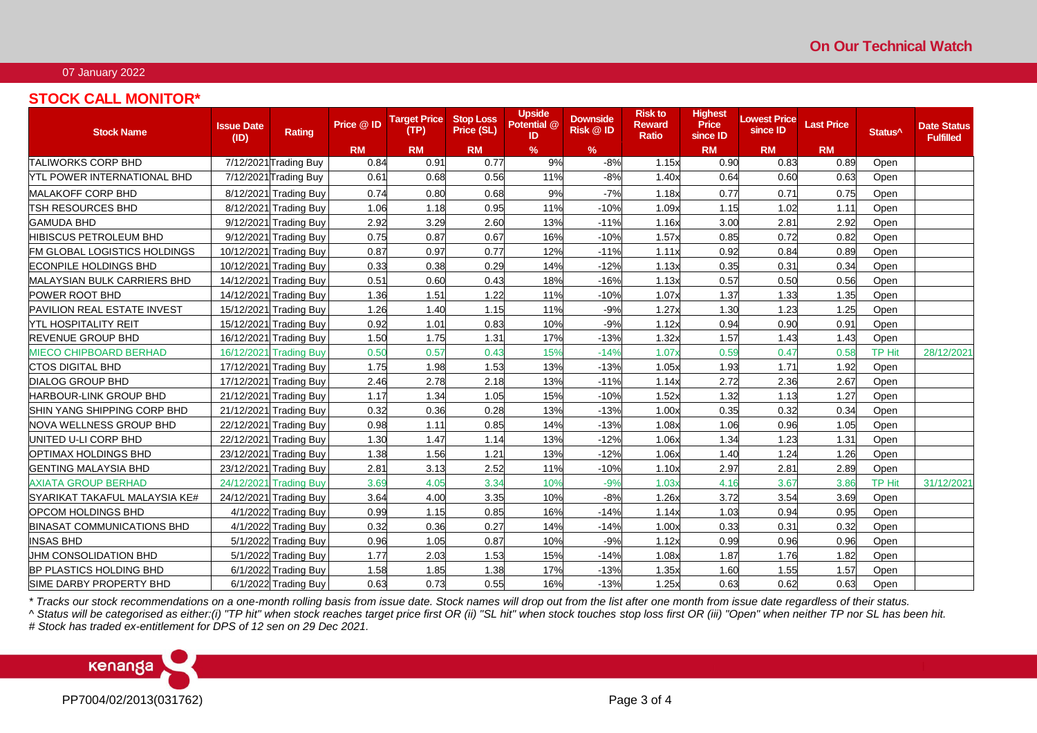## 07 January 2022

## **STOCK CALL MONITOR\***

| <b>Stock Name</b>                 | <b>Issue Date</b><br>(ID) | Rating                              | Price @ ID | <b>Target Price</b><br>(TP) | <b>Stop Loss</b><br>Price (SL) | <b>Upside</b><br>Potential @<br>ID | <b>Downside</b><br>Risk @ ID | <b>Risk to</b><br><b>Reward</b><br><b>Ratio</b> | <b>Highest</b><br><b>Price</b><br>since ID | owest Price<br>since ID | <b>Last Price</b> | Status <sup>^</sup> | <b>Date Status</b><br><b>Fulfilled</b> |
|-----------------------------------|---------------------------|-------------------------------------|------------|-----------------------------|--------------------------------|------------------------------------|------------------------------|-------------------------------------------------|--------------------------------------------|-------------------------|-------------------|---------------------|----------------------------------------|
|                                   |                           |                                     | <b>RM</b>  | <b>RM</b>                   | <b>RM</b>                      | %                                  | $\%$                         |                                                 | <b>RM</b>                                  | <b>RM</b>               | <b>RM</b>         |                     |                                        |
| <b>TALIWORKS CORP BHD</b>         |                           | $\overline{7/1}$ 2/2021 Trading Buy | 0.84       | 0.91                        | 0.77                           | 9%                                 | $-8%$                        | 1.15x                                           | 0.90                                       | 0.83                    | 0.89              | Open                |                                        |
| YTL POWER INTERNATIONAL BHD       |                           | 7/12/2021 Trading Buy               | 0.61       | 0.68                        | 0.56                           | 11%                                | $-8%$                        | 1.40x                                           | 0.64                                       | 0.60                    | 0.63              | Open                |                                        |
| <b>MALAKOFF CORP BHD</b>          |                           | 8/12/2021 Trading Buy               | 0.74       | 0.80                        | 0.68                           | 9%                                 | $-7%$                        | 1.18x                                           | 0.77                                       | 0.7'                    | 0.75              | Open                |                                        |
| TSH RESOURCES BHD                 |                           | 8/12/2021 Trading Buy               | 1.06       | 1.18                        | 0.95                           | 11%                                | $-10%$                       | 1.09x                                           | 1.15                                       | 1.02                    | 1.11              | Open                |                                        |
| <b>GAMUDA BHD</b>                 |                           | 9/12/2021 Trading Buy               | 2.92       | 3.29                        | 2.60                           | 13%                                | $-11%$                       | 1.16x                                           | 3.00                                       | 2.81                    | 2.92              | Open                |                                        |
| HIBISCUS PETROLEUM BHD            |                           | 9/12/2021 Trading Buy               | 0.75       | 0.87                        | 0.67                           | 16%                                | $-10%$                       | 1.57x                                           | 0.85                                       | 0.72                    | 0.82              | Open                |                                        |
| FM GLOBAL LOGISTICS HOLDINGS      |                           | 10/12/2021 Trading Buy              | 0.87       | 0.97                        | 0.77                           | 12%                                | $-11%$                       | 1.11x                                           | 0.92                                       | 0.84                    | 0.89              | Open                |                                        |
| ECONPILE HOLDINGS BHD             |                           | 10/12/2021 Trading Buy              | 0.33       | 0.38                        | 0.29                           | 14%                                | $-12%$                       | 1.13x                                           | 0.35                                       | 0.31                    | 0.34              | Open                |                                        |
| MALAYSIAN BULK CARRIERS BHD       |                           | 14/12/2021 Trading Buy              | 0.51       | 0.60                        | 0.43                           | 18%                                | $-16%$                       | 1.13x                                           | 0.57                                       | 0.50                    | 0.56              | Open                |                                        |
| <b>POWER ROOT BHD</b>             | 14/12/2021                | <b>Trading Buy</b>                  | 1.36       | 1.51                        | 1.22                           | 11%                                | $-10%$                       | 1.07x                                           | 1.37                                       | 1.33                    | 1.35              | Open                |                                        |
| PAVILION REAL ESTATE INVEST       |                           | 15/12/2021 Trading Buy              | 1.26       | 1.40                        | 1.15                           | 11%                                | $-9%$                        | 1.27x                                           | 1.30                                       | 1.23                    | 1.25              | Open                |                                        |
| <b>YTL HOSPITALITY REIT</b>       | 15/12/2021                | <b>Trading Buy</b>                  | 0.92       | 1.01                        | 0.83                           | 10%                                | $-9%$                        | 1.12x                                           | 0.94                                       | 0.90                    | 0.91              | Open                |                                        |
| <b>REVENUE GROUP BHD</b>          |                           | 16/12/2021 Trading Buy              | 1.50       | 1.75                        | 1.31                           | 17%                                | $-13%$                       | 1.32x                                           | 1.57                                       | 1.43                    | 1.43              | Open                |                                        |
| <b>MIECO CHIPBOARD BERHAD</b>     | 16/12/2021                | <b>Trading Buy</b>                  | 0.50       | 0.57                        | 0.43                           | 15%                                | $-14%$                       | 1.07x                                           | 0.59                                       | 0.47                    | 0.58              | TP Hit              | 28/12/2021                             |
| <b>CTOS DIGITAL BHD</b>           |                           | 17/12/2021 Trading Buy              | 1.75       | 1.98                        | 1.53                           | 13%                                | $-13%$                       | 1.05x                                           | 1.93                                       | 1.71                    | 1.92              | Open                |                                        |
| <b>DIALOG GROUP BHD</b>           | 17/12/2021                | <b>Trading Buy</b>                  | 2.46       | 2.78                        | 2.18                           | 13%                                | $-11%$                       | 1.14x                                           | 2.72                                       | 2.36                    | 2.67              | Open                |                                        |
| <b>HARBOUR-LINK GROUP BHD</b>     |                           | 21/12/2021 Trading Buy              | 1.17       | 1.34                        | 1.05                           | 15%                                | $-10%$                       | 1.52x                                           | 1.32                                       | 1.13                    | 1.27              | Open                |                                        |
| ISHIN YANG SHIPPING CORP BHD      | 21/12/2021                | <b>Trading Buy</b>                  | 0.32       | 0.36                        | 0.28                           | 13%                                | $-13%$                       | 1.00x                                           | 0.35                                       | 0.32                    | 0.34              | Open                |                                        |
| NOVA WELLNESS GROUP BHD           | 22/12/2021                | <b>Trading Buy</b>                  | 0.98       | 1.11                        | 0.85                           | 14%                                | $-13%$                       | 1.08x                                           | 1.06                                       | 0.96                    | 1.05              | Open                |                                        |
| UNITED U-LI CORP BHD              | 22/12/2021                | <b>Trading Buy</b>                  | 1.30       | 1.47                        | 1.14                           | 13%                                | $-12%$                       | 1.06x                                           | 1.34                                       | 1.23                    | 1.31              | Open                |                                        |
| OPTIMAX HOLDINGS BHD              | 23/12/2021                | <b>Trading Buy</b>                  | 1.38       | 1.56                        | 1.21                           | 13%                                | $-12%$                       | 1.06x                                           | 1.40                                       | 1.24                    | 1.26              | Open                |                                        |
| <b>GENTING MALAYSIA BHD</b>       | 23/12/2021                | <b>Trading Buy</b>                  | 2.81       | 3.13                        | 2.52                           | 11%                                | $-10%$                       | 1.10x                                           | 2.97                                       | 2.8'                    | 2.89              | Open                |                                        |
| <b>AXIATA GROUP BERHAD</b>        | 24/12/2021                | <b>Trading Buy</b>                  | 3.69       | 4.05                        | 3.34                           | 10%                                | $-9%$                        | 1.03x                                           | 4.16                                       | 3.67                    | 3.86              | <b>TP Hit</b>       | 31/12/2021                             |
| SYARIKAT TAKAFUL MALAYSIA KE#     | 24/12/2021                | <b>Trading Buy</b>                  | 3.64       | 4.00                        | 3.35                           | 10%                                | $-8%$                        | 1.26x                                           | 3.72                                       | 3.54                    | 3.69              | Open                |                                        |
| OPCOM HOLDINGS BHD                |                           | 4/1/2022 Trading Buy                | 0.99       | 1.15                        | 0.85                           | 16%                                | $-14%$                       | 1.14x                                           | 1.03                                       | 0.94                    | 0.95              | Open                |                                        |
| <b>BINASAT COMMUNICATIONS BHD</b> | 4/1/2022                  | <b>Trading Buy</b>                  | 0.32       | 0.36                        | 0.27                           | 14%                                | $-14%$                       | 1.00x                                           | 0.33                                       | 0.31                    | 0.32              | Open                |                                        |
| <b>INSAS BHD</b>                  | 5/1/2022                  | <b>Trading Buy</b>                  | 0.96       | 1.05                        | 0.87                           | 10%                                | $-9%$                        | 1.12x                                           | 0.99                                       | 0.96                    | 0.96              | Open                |                                        |
| UHM CONSOLIDATION BHD             |                           | 5/1/2022 Trading Buy                | 1.77       | 2.03                        | 1.53                           | 15%                                | $-14%$                       | 1.08x                                           | 1.87                                       | 1.76                    | 1.82              | Open                |                                        |
| BP PLASTICS HOLDING BHD           |                           | 6/1/2022 Trading Buy                | 1.58       | 1.85                        | 1.38                           | 17%                                | $-13%$                       | 1.35x                                           | 1.60                                       | 1.55                    | 1.57              | Open                |                                        |
| SIME DARBY PROPERTY BHD           |                           | 6/1/2022 Trading Buy                | 0.63       | 0.73                        | 0.55                           | 16%                                | $-13%$                       | 1.25x                                           | 0.63                                       | 0.62                    | 0.63              | Open                |                                        |

*\* Tracks our stock recommendations on a one-month rolling basis from issue date. Stock names will drop out from the list after one month from issue date regardless of their status.*

*^ Status will be categorised as either:(i) "TP hit" when stock reaches target price first OR (ii) "SL hit" when stock touches stop loss first OR (iii) "Open" when neither TP nor SL has been hit.*

*# Stock has traded ex-entitlement for DPS of 12 sen on 29 Dec 2021.*